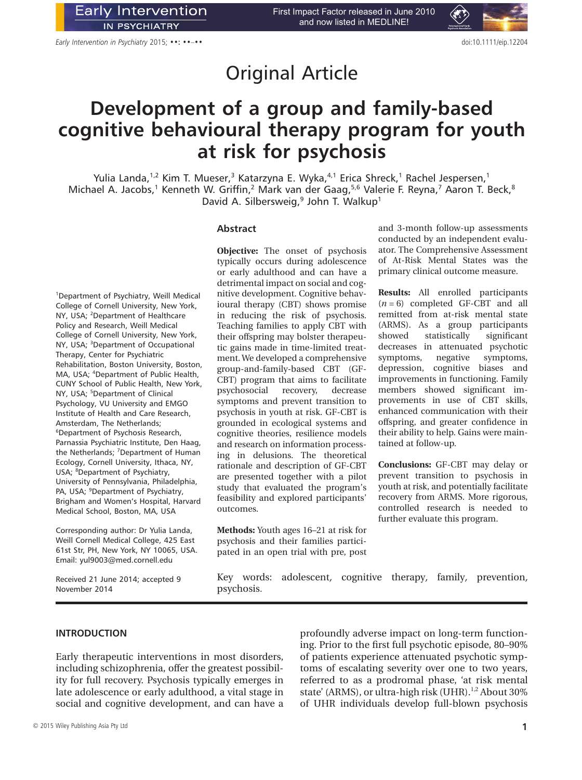*Early Intervention in Psychiatry* 2015; **••:** ••–•• doi:10.1111/eip.12204



# Original Article

## **Development of a group and family-based cognitive behavioural therapy program for youth at risk for psychosis**

Yulia Landa,<sup>1,2</sup> Kim T. Mueser,<sup>3</sup> Katarzyna E. Wyka,<sup>4,1</sup> Erica Shreck,<sup>1</sup> Rachel Jespersen,<sup>1</sup> Michael A. Jacobs,<sup>1</sup> Kenneth W. Griffin,<sup>2</sup> Mark van der Gaag,<sup>5,6</sup> Valerie F. Reyna,<sup>7</sup> Aaron T. Beck,<sup>8</sup> David A. Silbersweig, $9$  John T. Walkup<sup>1</sup>

#### **Abstract**

1 Department of Psychiatry, Weill Medical College of Cornell University, New York, NY, USA; <sup>2</sup>Department of Healthcare Policy and Research, Weill Medical College of Cornell University, New York, NY, USA; <sup>3</sup>Department of Occupational Therapy, Center for Psychiatric Rehabilitation, Boston University, Boston, MA, USA; <sup>4</sup> Department of Public Health, CUNY School of Public Health, New York, NY, USA; <sup>5</sup>Department of Clinical Psychology, VU University and EMGO Institute of Health and Care Research, Amsterdam, The Netherlands; 6 Department of Psychosis Research, Parnassia Psychiatric Institute, Den Haag, the Netherlands; <sup>7</sup>Department of Human Ecology, Cornell University, Ithaca, NY, USA; <sup>8</sup>Department of Psychiatry, University of Pennsylvania, Philadelphia, PA, USA; <sup>9</sup>Department of Psychiatry, Brigham and Women's Hospital, Harvard Medical School, Boston, MA, USA

Corresponding author: Dr Yulia Landa, Weill Cornell Medical College, 425 East 61st Str, PH, New York, NY 10065, USA. Email: [yul9003@med.cornell.edu](mailto:yul9003@med.cornell.edu)

Received 21 June 2014; accepted 9 November 2014

**Objective:** The onset of psychosis typically occurs during adolescence or early adulthood and can have a detrimental impact on social and cognitive development. Cognitive behavioural therapy (CBT) shows promise in reducing the risk of psychosis. Teaching families to apply CBT with their offspring may bolster therapeutic gains made in time-limited treatment. We developed a comprehensive group-and-family-based CBT (GF-CBT) program that aims to facilitate psychosocial recovery, decrease symptoms and prevent transition to psychosis in youth at risk. GF-CBT is grounded in ecological systems and cognitive theories, resilience models and research on information processing in delusions. The theoretical rationale and description of GF-CBT are presented together with a pilot study that evaluated the program's feasibility and explored participants' outcomes.

**Methods:** Youth ages 16–21 at risk for psychosis and their families participated in an open trial with pre, post and 3-month follow-up assessments conducted by an independent evaluator. The Comprehensive Assessment of At-Risk Mental States was the primary clinical outcome measure.

**Results:** All enrolled participants (*n* = 6) completed GF-CBT and all remitted from at-risk mental state (ARMS). As a group participants showed statistically significant decreases in attenuated psychotic symptoms, negative symptoms, depression, cognitive biases and improvements in functioning. Family members showed significant improvements in use of CBT skills, enhanced communication with their offspring, and greater confidence in their ability to help. Gains were maintained at follow-up.

**Conclusions:** GF-CBT may delay or prevent transition to psychosis in youth at risk, and potentially facilitate recovery from ARMS. More rigorous, controlled research is needed to further evaluate this program.

Key words: adolescent, cognitive therapy, family, prevention, psychosis.

## **INTRODUCTION**

Early therapeutic interventions in most disorders, including schizophrenia, offer the greatest possibility for full recovery. Psychosis typically emerges in late adolescence or early adulthood, a vital stage in social and cognitive development, and can have a

© 2015 Wiley Publishing Asia Pty Ltd **1**

profoundly adverse impact on long-term functioning. Prior to the first full psychotic episode, 80–90% of patients experience attenuated psychotic symptoms of escalating severity over one to two years, referred to as a prodromal phase, 'at risk mental state' (ARMS), or ultra-high risk (UHR). $1,2$  About 30% of UHR individuals develop full-blown psychosis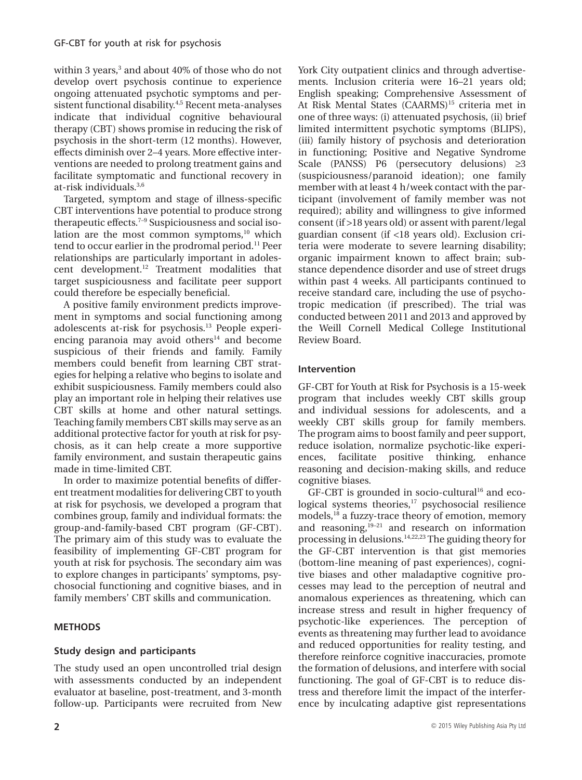within 3 years,<sup>3</sup> and about 40% of those who do not develop overt psychosis continue to experience ongoing attenuated psychotic symptoms and persistent functional disability.<sup>4,5</sup> Recent meta-analyses indicate that individual cognitive behavioural therapy (CBT) shows promise in reducing the risk of psychosis in the short-term (12 months). However, effects diminish over 2–4 years. More effective interventions are needed to prolong treatment gains and facilitate symptomatic and functional recovery in at-risk individuals.<sup>3,6</sup>

Targeted, symptom and stage of illness-specific CBT interventions have potential to produce strong therapeutic effects.7–9 Suspiciousness and social isolation are the most common symptoms, $10$  which tend to occur earlier in the prodromal period.<sup>11</sup> Peer relationships are particularly important in adolescent development.12 Treatment modalities that target suspiciousness and facilitate peer support could therefore be especially beneficial.

A positive family environment predicts improvement in symptoms and social functioning among adolescents at-risk for psychosis.13 People experiencing paranoia may avoid others $14$  and become suspicious of their friends and family. Family members could benefit from learning CBT strategies for helping a relative who begins to isolate and exhibit suspiciousness. Family members could also play an important role in helping their relatives use CBT skills at home and other natural settings. Teaching family members CBT skills may serve as an additional protective factor for youth at risk for psychosis, as it can help create a more supportive family environment, and sustain therapeutic gains made in time-limited CBT.

In order to maximize potential benefits of different treatment modalities for delivering CBT to youth at risk for psychosis, we developed a program that combines group, family and individual formats: the group-and-family-based CBT program (GF-CBT). The primary aim of this study was to evaluate the feasibility of implementing GF-CBT program for youth at risk for psychosis. The secondary aim was to explore changes in participants' symptoms, psychosocial functioning and cognitive biases, and in family members' CBT skills and communication.

## **METHODS**

## **Study design and participants**

The study used an open uncontrolled trial design with assessments conducted by an independent evaluator at baseline, post-treatment, and 3-month follow-up. Participants were recruited from New

York City outpatient clinics and through advertisements. Inclusion criteria were 16–21 years old; English speaking; Comprehensive Assessment of At Risk Mental States (CAARMS)<sup>15</sup> criteria met in one of three ways: (i) attenuated psychosis, (ii) brief limited intermittent psychotic symptoms (BLIPS), (iii) family history of psychosis and deterioration in functioning; Positive and Negative Syndrome Scale (PANSS) P6 (persecutory delusions) ≥3 (suspiciousness/paranoid ideation); one family member with at least 4 h/week contact with the participant (involvement of family member was not required); ability and willingness to give informed consent (if >18 years old) or assent with parent/legal guardian consent (if <18 years old). Exclusion criteria were moderate to severe learning disability; organic impairment known to affect brain; substance dependence disorder and use of street drugs within past 4 weeks. All participants continued to receive standard care, including the use of psychotropic medication (if prescribed). The trial was conducted between 2011 and 2013 and approved by the Weill Cornell Medical College Institutional Review Board.

## **Intervention**

GF-CBT for Youth at Risk for Psychosis is a 15-week program that includes weekly CBT skills group and individual sessions for adolescents, and a weekly CBT skills group for family members. The program aims to boost family and peer support, reduce isolation, normalize psychotic-like experiences, facilitate positive thinking, enhance reasoning and decision-making skills, and reduce cognitive biases.

GF-CBT is grounded in socio-cultural<sup>16</sup> and ecological systems theories,<sup>17</sup> psychosocial resilience models,<sup>18</sup> a fuzzy-trace theory of emotion, memory and reasoning, $19-21$  and research on information processing in delusions.<sup>14,22,23</sup> The guiding theory for the GF-CBT intervention is that gist memories (bottom-line meaning of past experiences), cognitive biases and other maladaptive cognitive processes may lead to the perception of neutral and anomalous experiences as threatening, which can increase stress and result in higher frequency of psychotic-like experiences. The perception of events as threatening may further lead to avoidance and reduced opportunities for reality testing, and therefore reinforce cognitive inaccuracies, promote the formation of delusions, and interfere with social functioning. The goal of GF-CBT is to reduce distress and therefore limit the impact of the interference by inculcating adaptive gist representations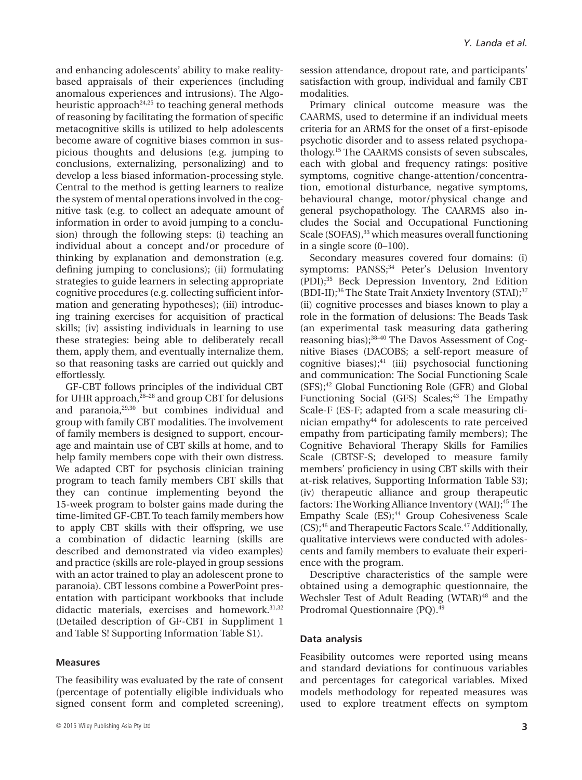and enhancing adolescents' ability to make realitybased appraisals of their experiences (including anomalous experiences and intrusions). The Algoheuristic approach<sup> $24,25$ </sup> to teaching general methods of reasoning by facilitating the formation of specific metacognitive skills is utilized to help adolescents become aware of cognitive biases common in suspicious thoughts and delusions (e.g. jumping to conclusions, externalizing, personalizing) and to develop a less biased information-processing style. Central to the method is getting learners to realize the system of mental operations involved in the cognitive task (e.g. to collect an adequate amount of information in order to avoid jumping to a conclusion) through the following steps: (i) teaching an individual about a concept and/or procedure of thinking by explanation and demonstration (e.g. defining jumping to conclusions); (ii) formulating strategies to guide learners in selecting appropriate cognitive procedures (e.g. collecting sufficient information and generating hypotheses); (iii) introducing training exercises for acquisition of practical skills; (iv) assisting individuals in learning to use these strategies: being able to deliberately recall them, apply them, and eventually internalize them, so that reasoning tasks are carried out quickly and effortlessly.

GF-CBT follows principles of the individual CBT for UHR approach, $26-28$  and group CBT for delusions and paranoia,29,30 but combines individual and group with family CBT modalities. The involvement of family members is designed to support, encourage and maintain use of CBT skills at home, and to help family members cope with their own distress. We adapted CBT for psychosis clinician training program to teach family members CBT skills that they can continue implementing beyond the 15-week program to bolster gains made during the time-limited GF-CBT. To teach family members how to apply CBT skills with their offspring, we use a combination of didactic learning (skills are described and demonstrated via video examples) and practice (skills are role-played in group sessions with an actor trained to play an adolescent prone to paranoia). CBT lessons combine a PowerPoint presentation with participant workbooks that include didactic materials, exercises and homework.<sup>31,32</sup> (Detailed description of GF-CBT in Suppliment 1 and Table S! Supporting Information Table S1).

#### **Measures**

The feasibility was evaluated by the rate of consent (percentage of potentially eligible individuals who signed consent form and completed screening), session attendance, dropout rate, and participants' satisfaction with group, individual and family CBT modalities.

Primary clinical outcome measure was the CAARMS, used to determine if an individual meets criteria for an ARMS for the onset of a first-episode psychotic disorder and to assess related psychopathology.15 The CAARMS consists of seven subscales, each with global and frequency ratings: positive symptoms, cognitive change-attention/concentration, emotional disturbance, negative symptoms, behavioural change, motor/physical change and general psychopathology. The CAARMS also includes the Social and Occupational Functioning Scale (SOFAS),<sup>33</sup> which measures overall functioning in a single score (0–100).

Secondary measures covered four domains: (i) symptoms: PANSS;<sup>34</sup> Peter's Delusion Inventory (PDI);35 Beck Depression Inventory, 2nd Edition (BDI-II);<sup>36</sup> The State Trait Anxiety Inventory (STAI);<sup>37</sup> (ii) cognitive processes and biases known to play a role in the formation of delusions: The Beads Task (an experimental task measuring data gathering reasoning bias);<sup>38-40</sup> The Davos Assessment of Cognitive Biases (DACOBS; a self-report measure of cognitive biases); $41$  (iii) psychosocial functioning and communication: The Social Functioning Scale  $(SFS);^{42}$  Global Functioning Role (GFR) and Global Functioning Social (GFS) Scales;<sup>43</sup> The Empathy Scale-F (ES-F; adapted from a scale measuring clinician empathy $44$  for adolescents to rate perceived empathy from participating family members); The Cognitive Behavioral Therapy Skills for Families Scale (CBTSF-S; developed to measure family members' proficiency in using CBT skills with their at-risk relatives, Supporting Information Table S3); (iv) therapeutic alliance and group therapeutic factors: The Working Alliance Inventory (WAI);<sup>45</sup> The Empathy Scale (ES);<sup>44</sup> Group Cohesiveness Scale (CS);<sup>46</sup> and Therapeutic Factors Scale.<sup>47</sup> Additionally, qualitative interviews were conducted with adolescents and family members to evaluate their experience with the program.

Descriptive characteristics of the sample were obtained using a demographic questionnaire, the Wechsler Test of Adult Reading (WTAR)<sup>48</sup> and the Prodromal Questionnaire (PQ).<sup>49</sup>

#### **Data analysis**

Feasibility outcomes were reported using means and standard deviations for continuous variables and percentages for categorical variables. Mixed models methodology for repeated measures was used to explore treatment effects on symptom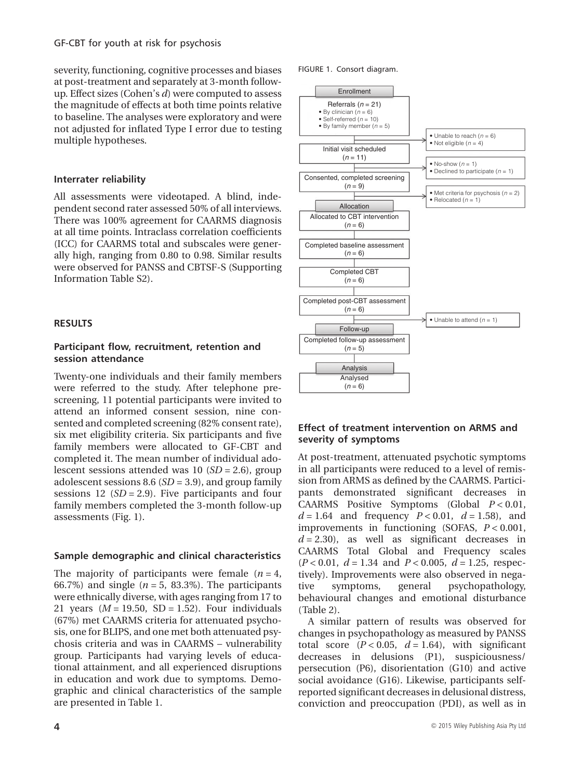severity, functioning, cognitive processes and biases at post-treatment and separately at 3-month followup. Effect sizes (Cohen's *d*) were computed to assess the magnitude of effects at both time points relative to baseline. The analyses were exploratory and were not adjusted for inflated Type I error due to testing multiple hypotheses.

## **Interrater reliability**

All assessments were videotaped. A blind, independent second rater assessed 50% of all interviews. There was 100% agreement for CAARMS diagnosis at all time points. Intraclass correlation coefficients (ICC) for CAARMS total and subscales were generally high, ranging from 0.80 to 0.98. Similar results were observed for PANSS and CBTSF-S (Supporting Information Table S2).

## **RESULTS**

## **Participant flow, recruitment, retention and session attendance**

Twenty-one individuals and their family members were referred to the study. After telephone prescreening, 11 potential participants were invited to attend an informed consent session, nine consented and completed screening (82% consent rate), six met eligibility criteria. Six participants and five family members were allocated to GF-CBT and completed it. The mean number of individual adolescent sessions attended was 10 (*SD* = 2.6), group adolescent sessions 8.6 (*SD* = 3.9), and group family sessions 12 (*SD* = 2.9). Five participants and four family members completed the 3-month follow-up assessments (Fig. 1).

## **Sample demographic and clinical characteristics**

The majority of participants were female  $(n = 4,$ 66.7%) and single  $(n = 5, 83.3\%)$ . The participants were ethnically diverse, with ages ranging from 17 to 21 years  $(M = 19.50, SD = 1.52)$ . Four individuals (67%) met CAARMS criteria for attenuated psychosis, one for BLIPS, and one met both attenuated psychosis criteria and was in CAARMS – vulnerability group. Participants had varying levels of educational attainment, and all experienced disruptions in education and work due to symptoms. Demographic and clinical characteristics of the sample are presented in Table 1.

#### FIGURE 1. Consort diagram.



## **Effect of treatment intervention on ARMS and severity of symptoms**

At post-treatment, attenuated psychotic symptoms in all participants were reduced to a level of remission from ARMS as defined by the CAARMS. Participants demonstrated significant decreases in CAARMS Positive Symptoms (Global *P* < 0.01,  $d = 1.64$  and frequency  $P < 0.01$ ,  $d = 1.58$ ), and improvements in functioning (SOFAS, *P* < 0.001,  $d = 2.30$ , as well as significant decreases in CAARMS Total Global and Frequency scales (*P* < 0.01, *d* = 1.34 and *P* < 0.005, *d* = 1.25, respectively). Improvements were also observed in negative symptoms, general psychopathology, behavioural changes and emotional disturbance (Table 2).

A similar pattern of results was observed for changes in psychopathology as measured by PANSS total score  $(P < 0.05, d = 1.64)$ , with significant decreases in delusions (P1), suspiciousness/ persecution (P6), disorientation (G10) and active social avoidance (G16). Likewise, participants selfreported significant decreases in delusional distress, conviction and preoccupation (PDI), as well as in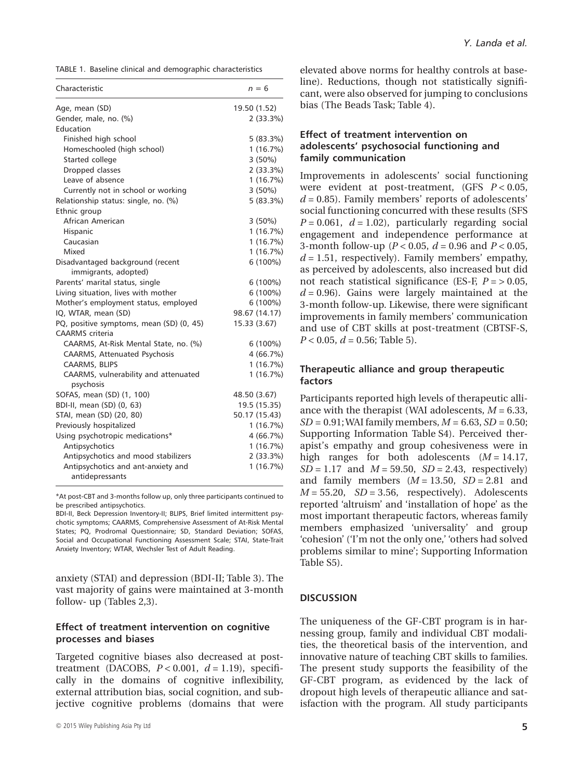TABLE 1. Baseline clinical and demographic characteristics

| Characteristic                                        | $n = 6$       |
|-------------------------------------------------------|---------------|
| Age, mean (SD)                                        | 19.50 (1.52)  |
| Gender, male, no. (%)                                 | $2(33.3\%)$   |
| Education                                             |               |
| Finished high school                                  | 5(83.3%)      |
| Homeschooled (high school)                            | 1(16.7%)      |
| Started college                                       | $3(50\%)$     |
| Dropped classes                                       | $2(33.3\%)$   |
| Leave of absence                                      | 1(16.7%)      |
| Currently not in school or working                    | $3(50\%)$     |
| Relationship status: single, no. (%)                  | 5(83.3%)      |
| Ethnic group                                          |               |
| African American                                      | $3(50\%)$     |
| Hispanic                                              | 1(16.7%)      |
| Caucasian                                             | 1(16.7%)      |
| Mixed                                                 | 1(16.7%)      |
| Disadvantaged background (recent                      | 6 (100%)      |
| immigrants, adopted)                                  |               |
| Parents' marital status, single                       | $6(100\%)$    |
| Living situation, lives with mother                   | $6(100\%)$    |
| Mother's employment status, employed                  | 6 (100%)      |
| IQ, WTAR, mean (SD)                                   | 98.67 (14.17) |
| PQ, positive symptoms, mean (SD) (0, 45)              | 15.33 (3.67)  |
| <b>CAARMS</b> criteria                                |               |
| CAARMS, At-Risk Mental State, no. (%)                 | 6 (100%)      |
| CAARMS, Attenuated Psychosis                          | 4 (66.7%)     |
| CAARMS, BLIPS                                         | 1(16.7%)      |
| CAARMS, vulnerability and attenuated                  | 1(16.7%)      |
| psychosis                                             |               |
| SOFAS, mean (SD) (1, 100)                             | 48.50 (3.67)  |
| BDI-II, mean (SD) (0, 63)                             | 19.5 (15.35)  |
| STAI, mean (SD) (20, 80)                              | 50.17 (15.43) |
| Previously hospitalized                               | 1(16.7%)      |
| Using psychotropic medications*                       | 4(66.7%)      |
| Antipsychotics                                        | 1(16.7%)      |
| Antipsychotics and mood stabilizers                   | $2(33.3\%)$   |
| Antipsychotics and ant-anxiety and<br>antidepressants | 1(16.7%)      |

\*At post-CBT and 3-months follow up, only three participants continued to be prescribed antipsychotics.

BDI-II, Beck Depression Inventory-II; BLIPS, Brief limited intermittent psychotic symptoms; CAARMS, Comprehensive Assessment of At-Risk Mental States; PQ, Prodromal Questionnaire; SD, Standard Deviation; SOFAS, Social and Occupational Functioning Assessment Scale; STAI, State-Trait Anxiety Inventory; WTAR, Wechsler Test of Adult Reading.

anxiety (STAI) and depression (BDI-II; Table 3). The vast majority of gains were maintained at 3-month follow- up (Tables 2,3).

## **Effect of treatment intervention on cognitive processes and biases**

Targeted cognitive biases also decreased at posttreatment (DACOBS, *P* < 0.001, *d* = 1.19), specifically in the domains of cognitive inflexibility, external attribution bias, social cognition, and subjective cognitive problems (domains that were elevated above norms for healthy controls at baseline). Reductions, though not statistically significant, were also observed for jumping to conclusions bias (The Beads Task; Table 4).

## **Effect of treatment intervention on adolescents' psychosocial functioning and family communication**

Improvements in adolescents' social functioning were evident at post-treatment, (GFS *P* < 0.05,  $d = 0.85$ ). Family members' reports of adolescents' social functioning concurred with these results (SFS  $P = 0.061$ ,  $d = 1.02$ , particularly regarding social engagement and independence performance at 3-month follow-up (*P* < 0.05, *d* = 0.96 and *P* < 0.05,  $d = 1.51$ , respectively). Family members' empathy, as perceived by adolescents, also increased but did not reach statistical significance (ES-F,  $P = > 0.05$ ,  $d = 0.96$ . Gains were largely maintained at the 3-month follow-up. Likewise, there were significant improvements in family members' communication and use of CBT skills at post-treatment (CBTSF-S,  $P < 0.05$ ,  $d = 0.56$ ; Table 5).

### **Therapeutic alliance and group therapeutic factors**

Participants reported high levels of therapeutic alliance with the therapist (WAI adolescents,  $M = 6.33$ ,  $SD = 0.91$ ; WAI family members,  $M = 6.63$ ,  $SD = 0.50$ ; Supporting Information Table S4). Perceived therapist's empathy and group cohesiveness were in high ranges for both adolescents ( $M = 14.17$ , *SD* = 1.17 and *M* = 59.50, *SD* = 2.43, respectively) and family members  $(M = 13.50, SD = 2.81$  and  $M = 55.20$ ,  $SD = 3.56$ , respectively). Adolescents reported 'altruism' and 'installation of hope' as the most important therapeutic factors, whereas family members emphasized 'universality' and group 'cohesion' ('I'm not the only one,' 'others had solved problems similar to mine'; Supporting Information Table S5).

#### **DISCUSSION**

The uniqueness of the GF-CBT program is in harnessing group, family and individual CBT modalities, the theoretical basis of the intervention, and innovative nature of teaching CBT skills to families. The present study supports the feasibility of the GF-CBT program, as evidenced by the lack of dropout high levels of therapeutic alliance and satisfaction with the program. All study participants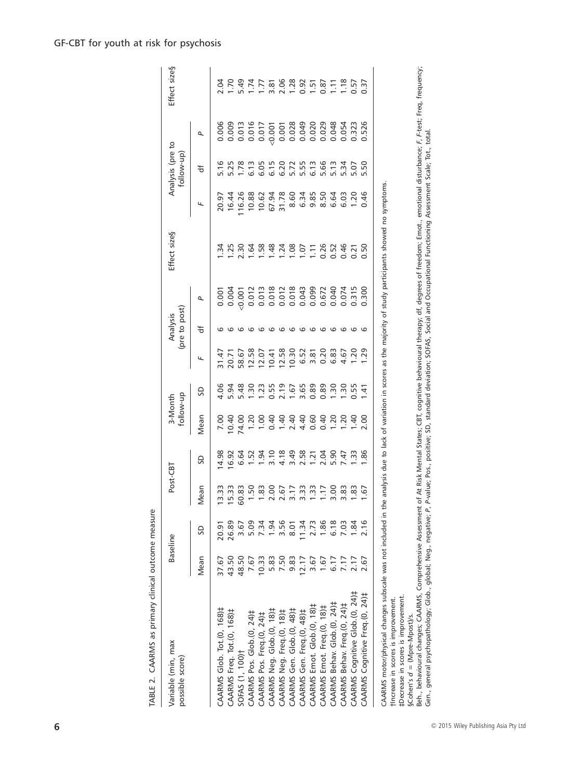| Variable (min, max<br>possible score                                                                                                                                                                        | <b>Baseline</b> |               | Post-CBT |                                                   | follow-up<br>3-Month                      |                   |                                                                                                                                                                                                                                                                                                               | (pre to post)<br>Analysis |   | Effect size§  |                | Analysis (pre to<br>follow-up)                                                                                                                                                                                                                                                                                                                                                                        |   | Effect size§                                             |
|-------------------------------------------------------------------------------------------------------------------------------------------------------------------------------------------------------------|-----------------|---------------|----------|---------------------------------------------------|-------------------------------------------|-------------------|---------------------------------------------------------------------------------------------------------------------------------------------------------------------------------------------------------------------------------------------------------------------------------------------------------------|---------------------------|---|---------------|----------------|-------------------------------------------------------------------------------------------------------------------------------------------------------------------------------------------------------------------------------------------------------------------------------------------------------------------------------------------------------------------------------------------------------|---|----------------------------------------------------------|
|                                                                                                                                                                                                             | Mean            | SD            | Mean     | SD                                                | Mean                                      | G                 | щ                                                                                                                                                                                                                                                                                                             | ₩                         | P |               | щ              | ₩                                                                                                                                                                                                                                                                                                                                                                                                     | P |                                                          |
| CAARMS Glob. Tot.(0, 168)‡                                                                                                                                                                                  | 37.67           | 20.91         | 13.33    | 14.98                                             | 7.00                                      |                   |                                                                                                                                                                                                                                                                                                               |                           |   | $\ddot{3}$    |                | 5.16                                                                                                                                                                                                                                                                                                                                                                                                  |   | $\frac{1}{2}$                                            |
| CAARMS Freq. Tot. (0, 168)#                                                                                                                                                                                 | 43.50           | 26.89         | 15.33    | 16.92                                             | 0.40                                      | 6, 3, 48          |                                                                                                                                                                                                                                                                                                               |                           |   | 55            | 20.97<br>16.44 |                                                                                                                                                                                                                                                                                                                                                                                                       |   |                                                          |
| SOFAS (1, 100) <sup>+</sup>                                                                                                                                                                                 | 48.50           | 3.67          | 60.83    | 6.64                                              |                                           |                   |                                                                                                                                                                                                                                                                                                               |                           |   | $\frac{1}{2}$ | 16.26          | $\frac{25}{1.78}$                                                                                                                                                                                                                                                                                                                                                                                     |   | 64.7                                                     |
| CAARMS Pos. Glob.(0, 24)#                                                                                                                                                                                   | 7.67            | 5.09          | 1.50     | 1.52                                              |                                           |                   | $\begin{array}{c} 7.47 \\ 7.71 \\ 2.08 \\ 7.71 \\ 8.89 \\ 1.09 \\ 1.09 \\ 1.09 \\ 1.09 \\ 1.09 \\ 1.09 \\ 1.09 \\ 1.09 \\ 1.09 \\ 1.09 \\ 1.09 \\ 1.09 \\ 1.09 \\ 1.09 \\ 1.09 \\ 1.09 \\ 1.09 \\ 1.09 \\ 1.09 \\ 1.09 \\ 1.09 \\ 1.09 \\ 1.09 \\ 1.09 \\ 1.09 \\ 1.09 \\ 1.09 \\ 1.00 \\ 1.00 \\ 1.00 \\ 1.$ |                           |   | $-64$         |                |                                                                                                                                                                                                                                                                                                                                                                                                       |   | 1.74                                                     |
| CAARMS Pos. Freq. (0, 24)#                                                                                                                                                                                  | 10.33           | 7.34          | 1.83     |                                                   |                                           |                   |                                                                                                                                                                                                                                                                                                               |                           |   | $-58$         |                |                                                                                                                                                                                                                                                                                                                                                                                                       |   |                                                          |
| CAARMS Neg. Glob.(0, 18)#                                                                                                                                                                                   | 5.83            | 1.94          |          |                                                   |                                           | 2<br>2020<br>2021 |                                                                                                                                                                                                                                                                                                               |                           |   | 1.48          |                |                                                                                                                                                                                                                                                                                                                                                                                                       |   | $\frac{7}{2}$<br>$\frac{8}{2}$<br>$\frac{1}{2}$          |
| CAARMS Neg. Freq. (0, 18)#                                                                                                                                                                                  | 7.50            | 3.56          |          |                                                   |                                           |                   |                                                                                                                                                                                                                                                                                                               |                           |   | 1.24          |                |                                                                                                                                                                                                                                                                                                                                                                                                       |   |                                                          |
| CAARMS Gen. Glob.(0, 48)#                                                                                                                                                                                   | 9.83            | $\frac{5}{8}$ |          | 1<br>2008<br>2008<br>2008<br>2008<br>2008<br>2008 |                                           |                   | $0.\overline{3}0$                                                                                                                                                                                                                                                                                             |                           |   | 0.108         |                | $\begin{array}{cccccccccccccc} c. & c. & c. & c. & c. & c. & c. & c. \\ c. & c. & c. & c. & c. & c. & c. & c. \\ c. & c. & c. & c. & c. & c. & c. & c. \\ c. & c. & c. & c. & c. & c. & c. & c. \\ c. & c. & c. & c. & c. & c. & c. & c. \\ c. & c. & c. & c. & c. & c. & c. & c. \\ c. & c. & c. & c. & c. & c. & c. & c. \\ c. & c. & c. & c. & c. & c. & c. & c. \\ c. & c. & c. & c. & c. & c. &$ |   | 1.28                                                     |
| CAARMS Gen. Freq.(0, 48)#                                                                                                                                                                                   | 12.17           | 1.34          |          |                                                   |                                           |                   | 6.52                                                                                                                                                                                                                                                                                                          |                           |   | 1.07          |                |                                                                                                                                                                                                                                                                                                                                                                                                       |   |                                                          |
| CAARMS Emot. Glob.(0, 18)#                                                                                                                                                                                  | 3.67            | 2.73          |          |                                                   |                                           | 3.89              | 3.81                                                                                                                                                                                                                                                                                                          |                           |   | 1.11          |                |                                                                                                                                                                                                                                                                                                                                                                                                       |   | $0.5187$<br>$0.5187$<br>$0.5187$<br>$0.5187$<br>$0.5187$ |
| CAARMS Emot. Freq.(0, 18)#                                                                                                                                                                                  | 1.67            | 1.86          |          |                                                   |                                           | 0.89              | 0.20                                                                                                                                                                                                                                                                                                          |                           |   | 0.26<br>0.52  |                |                                                                                                                                                                                                                                                                                                                                                                                                       |   |                                                          |
| CAARMS Behav. Glob.(0, 24)#                                                                                                                                                                                 | 6.17            | 6.18          |          |                                                   | $\frac{2}{3}$ $\frac{2}{3}$ $\frac{4}{3}$ | $\frac{50}{2}$    | 6.83                                                                                                                                                                                                                                                                                                          |                           |   |               |                |                                                                                                                                                                                                                                                                                                                                                                                                       |   |                                                          |
| CAARMS Behav. Freq. (0, 24)#                                                                                                                                                                                | 7.17            | .03           |          |                                                   |                                           | $\frac{50}{2}$    | 4.67                                                                                                                                                                                                                                                                                                          |                           |   | 0.46          |                |                                                                                                                                                                                                                                                                                                                                                                                                       |   |                                                          |
| CAARMS Cognitive Glob (0, 24)#                                                                                                                                                                              | 2.17            | $\ddot{a}$    | 1,83     | $\frac{33}{2}$                                    |                                           | 0.55              | $\overline{120}$                                                                                                                                                                                                                                                                                              |                           |   | 21            |                |                                                                                                                                                                                                                                                                                                                                                                                                       |   |                                                          |
| CAARMS Cognitive Freq.(0, 24)#                                                                                                                                                                              | .67             | 2.16          | $-1.67$  | 1.86                                              | 2.00                                      | 4                 | 29                                                                                                                                                                                                                                                                                                            |                           |   | 0.50          |                |                                                                                                                                                                                                                                                                                                                                                                                                       |   |                                                          |
| CAARMS motor/physical changes subscale was not included in the analysis due to lack of variation in scores as the majority of study participants showed no symptoms.<br>tincrease in scores is improvement. |                 |               |          |                                                   |                                           |                   |                                                                                                                                                                                                                                                                                                               |                           |   |               |                |                                                                                                                                                                                                                                                                                                                                                                                                       |   |                                                          |

TABLE 2. CAARMS as primary clinical outcome measure TABLE 2. CAARMS as primary clinical outcome measure

‡Decrease in scores is improvement.

§Cohen's *d* = (Mpre-Mpost)/s.

#Decrease in scores is improvement.<br>§Cohen's *d* = (Mpre-Mpost)/s.<br>Beh., behavioural changes; CAARMS, Comprehensive Assessment of At Risk Mental States; CBT, cognitive behavioural therapy; df, degrees of freedom; Emot., em Beh., behavioural changes; CAARMS, Comprehensive Assessment of At Risk Mental States; CBT, cognitive behavioural therapy; df, degrees of freedom; Emot., emotional disturbance; *F*, *F-*test; Freq, frequency; Gen., general psychopathology; Glob., global; Neg., negative; *P*, *P*-value; Pos., positive; SD, standard deviation; SOFAS, Social and Occupational Functioning Assessment Scale; Tot., total.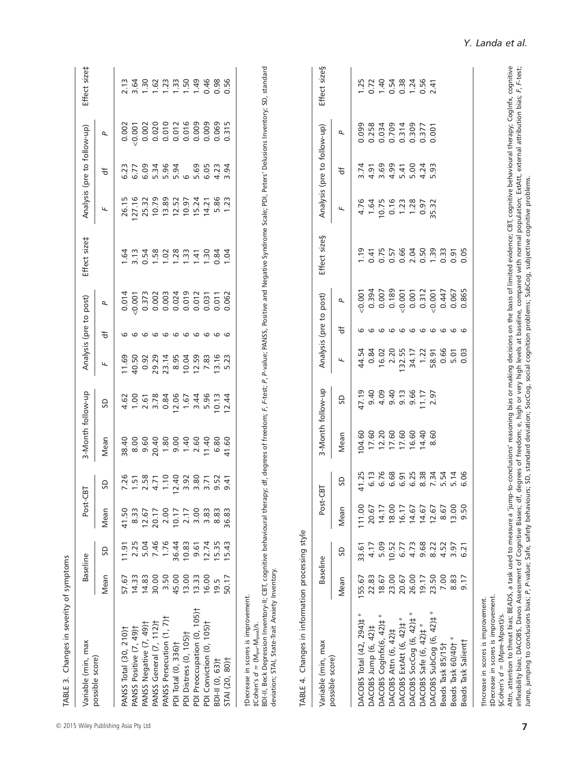| TABLE 3. Changes in severity of symptoms                                                                                                                                                                                                                                                                                                                                                                                  |          |       |          |                                     |                                 |                                                                                                 |                        |                        |       |                                                      |                |                                            |       |                                                                       |
|---------------------------------------------------------------------------------------------------------------------------------------------------------------------------------------------------------------------------------------------------------------------------------------------------------------------------------------------------------------------------------------------------------------------------|----------|-------|----------|-------------------------------------|---------------------------------|-------------------------------------------------------------------------------------------------|------------------------|------------------------|-------|------------------------------------------------------|----------------|--------------------------------------------|-------|-----------------------------------------------------------------------|
| Variable (min, max                                                                                                                                                                                                                                                                                                                                                                                                        | Baseline |       | Post-CBT |                                     | 3-Month follow-up               |                                                                                                 |                        | Analysis (pre to post) |       | Effect size‡                                         |                | Analysis (pre to follow-up)                |       | Effect size‡                                                          |
| possible score)                                                                                                                                                                                                                                                                                                                                                                                                           | Mean     | SD    | Mean     | G                                   | Mean                            | SD                                                                                              | щ                      | 눙                      | ٩     |                                                      | ц              | 눙                                          | Ъ     |                                                                       |
| PANSS Total (30, 210)+                                                                                                                                                                                                                                                                                                                                                                                                    | 57.67    | 1.91  | 41.50    |                                     | 38.40                           |                                                                                                 | 11.69                  |                        | 0.014 | $-64$                                                | 26.15          |                                            | 0.002 | 2.13                                                                  |
| PANSS Positive (7, 49)t                                                                                                                                                                                                                                                                                                                                                                                                   | 14.33    | 2.25  | 8.33     |                                     |                                 |                                                                                                 | 40.50                  |                        |       |                                                      | 27.16          |                                            |       | .64                                                                   |
| PANSS Negative (7, 49)t                                                                                                                                                                                                                                                                                                                                                                                                   | 14.83    | 5.04  | 2.67     |                                     | 8.60<br>9.60                    |                                                                                                 | 0.92                   | 9                      |       |                                                      |                |                                            |       | $\frac{30}{2}$                                                        |
| PANSS General (7, 112) <sup>+</sup>                                                                                                                                                                                                                                                                                                                                                                                       | 30.00    | 7.46  | 20.17    | $7.58$<br>$7.58$<br>$7.7$<br>$7.10$ | 20.40<br>1.80<br>1.9.40<br>2.60 | $4 - 2$<br>$-2$<br>$-3$<br>$-3$<br>$-3$<br>$-3$<br>$-3$<br>$-3$<br>$-3$<br>$-3$<br>$-3$<br>$-3$ | 29.29<br>23.14<br>8.95 | ဖ                      |       | $\frac{2}{3}$ , $\frac{1}{2}$ , $\frac{8}{3}$        | 25.32<br>10.79 | coconniconot<br>UCOMOO COCI<br>UCOMOO COCI |       |                                                                       |
| PANSS Persecution (1, 7)t                                                                                                                                                                                                                                                                                                                                                                                                 | 3.50     | 1.76  | 2.00     |                                     |                                 |                                                                                                 |                        | ဖ                      |       | 1.02                                                 |                |                                            |       |                                                                       |
| PDI Total (0, 336)†                                                                                                                                                                                                                                                                                                                                                                                                       | 45.00    | 36.44 | 10.17    | 12.40                               |                                 | 12.06                                                                                           |                        | ဖ                      |       | $\frac{28}{1} \cdot \frac{27}{1} \cdot \frac{41}{1}$ | 13.89<br>12.52 |                                            |       | $\frac{6}{1}$ $\frac{2}{1}$ $\frac{3}{1}$ $\frac{3}{1}$ $\frac{5}{1}$ |
| PDI Distress (0, 105)+                                                                                                                                                                                                                                                                                                                                                                                                    | 13.00    | 10.83 | 2.17     | 3.92                                |                                 | 1.67                                                                                            | 10.04                  | $\circ$                |       |                                                      | 10.97          |                                            |       |                                                                       |
| PDI Preoccupation (0, 105)†                                                                                                                                                                                                                                                                                                                                                                                               | 13.33    | 9.61  | 3.00     |                                     |                                 | 3.44                                                                                            | 12.59                  | G                      |       |                                                      | 15.24          |                                            |       | 0.49                                                                  |
| PDI Conviction (0, 105)†                                                                                                                                                                                                                                                                                                                                                                                                  | 16.00    | 12.74 | 3.83     | $3.50$<br>$3.71$<br>$9.52$          | 11.40                           | 5.96                                                                                            | 7.83                   | ဖ                      |       | $\frac{30}{2}$                                       | 14.21          |                                            |       | 0.46                                                                  |
| BDI-II (0, 63)†                                                                                                                                                                                                                                                                                                                                                                                                           | 19.5     | 15.35 | 8.83     |                                     | 6.80                            | $\frac{13}{2}$ 44                                                                               | 3.16                   | ဖ                      |       | 0.84                                                 | 5.86           |                                            |       | 0.98                                                                  |
| STAI (20, 80)†                                                                                                                                                                                                                                                                                                                                                                                                            | 50.17    | 5.43  | 36.83    | 9.41                                | 41.60                           |                                                                                                 | 5.23                   |                        |       | 1.04                                                 | 1.23           | 3.94                                       |       | 0.56                                                                  |
| BDI-II, Beck Depression Inventory-II; CBT, cognitive behavioural therapy; df, degrees of freedom; F, F-test; P, P-value; PANSS, Positive and Negative Syndrome Scale; PDI, Peters' Delusions Inventory; SD, standard<br>TABLE 4. Changes in information processing style<br>deviation; STAI, State-Trait Anxiety Inventory.<br>†Decrease in scores is improvement.<br>#Cohen's $d = (M_{\text{pre}}-M_{\text{post}})/s$ . |          |       |          |                                     |                                 |                                                                                                 |                        |                        |       |                                                      |                |                                            |       |                                                                       |
|                                                                                                                                                                                                                                                                                                                                                                                                                           |          |       |          |                                     |                                 |                                                                                                 |                        |                        |       |                                                      |                |                                            |       |                                                                       |

| Variable (min, max                                                                                                                                                                                                                                                                     | <b>Baseline</b> |       | Post  | FCB   | 3-Month follow-up |       | Analysis (pre to post) |    |                | Effect size§                                                                                                                                    |       | Analysis (pre to follow-up) |       | Effect size§ |
|----------------------------------------------------------------------------------------------------------------------------------------------------------------------------------------------------------------------------------------------------------------------------------------|-----------------|-------|-------|-------|-------------------|-------|------------------------|----|----------------|-------------------------------------------------------------------------------------------------------------------------------------------------|-------|-----------------------------|-------|--------------|
| possible score)                                                                                                                                                                                                                                                                        | Mean            | SD    | Mean  | SD    | Mean              | SD    | ц                      | 눙  | ٩              |                                                                                                                                                 | щ     | ₩                           | ٩     |              |
| DACOBS Total (42, 294)‡ °                                                                                                                                                                                                                                                              | 155.67          | 33.61 | 11.00 | 41.25 | 04.60             | 47.19 | 44.54                  |    | $-0.001$       | $\frac{9}{2}$                                                                                                                                   | 4.76  | 3.74                        | 0.099 | <b>1.25</b>  |
| DACOBS Jump (6, 42)‡                                                                                                                                                                                                                                                                   | 22.83           |       | 20.67 | 6.13  | 17.60             | 9.40  | 0.84                   |    | 0.394          | 0.41                                                                                                                                            | 1.64  | 4.91                        | 0.258 | 0.72         |
| DACOBS CogInfx(6, 42)‡                                                                                                                                                                                                                                                                 | 18.67           | 5.09  | 14.17 | 6.76  | 12.20             | 4.09  | 16.02                  | ఱ  | 0.007          | 0.75                                                                                                                                            | 0.75  | 3.69                        | 0.034 | 1.40         |
| DACOBS Attn (6, 42)‡                                                                                                                                                                                                                                                                   | 23.00           | 10.52 | 8.00  | 6.68  | 17.60             | 9.40  | 2.20                   | ιo | 0.189          | 0.57                                                                                                                                            | 0.16  | 4.99                        | 0.709 | 0.54         |
| DACOBS ExtAtt (6, 42)‡ °                                                                                                                                                                                                                                                               | 20.67           | 6.77  | 16.17 | 6.91  | 17.60             | 9.13  | 32.55                  | ဖ  | 0.001          | 0.66                                                                                                                                            | 1.23  |                             | 0.314 | 0.38         |
| DACOBS SocCog (6, 42)‡ °                                                                                                                                                                                                                                                               | 26.00           | 4.73  | 14.67 | 6.25  | 16.60             | 9.66  | 34.17                  | ιo |                | 2.04                                                                                                                                            | 1.28  | n n 4<br>4 9 4<br>4 9 4     | 0.309 | 1.24         |
| DACOBS Safe (6, 42)‡ °                                                                                                                                                                                                                                                                 | 19.17           | 9.68  | 14.67 | 8.38  | 4.40              | 1.17  | 1.22                   | ١O | 0.001<br>0.312 | 0.50                                                                                                                                            | 0.97  |                             | 0.377 | 0.56         |
| DACOBS SubCog (6, 42)#                                                                                                                                                                                                                                                                 | 23.50           | 8.22  | 2.67  | 7.34  | 8.60              | 2.97  | 58.91                  | ١O | 0.001          | 1.39                                                                                                                                            | 35.32 | 5.93                        | 0.001 | 2.41         |
| Beads Task 85/15†                                                                                                                                                                                                                                                                      | 7.00            | 4.52  | 8.67  | 5.54  |                   |       | 0.66                   | ဖ  | 0.447          | 0.33                                                                                                                                            |       |                             |       |              |
| Beads Task 60/40† e                                                                                                                                                                                                                                                                    | 8.83            |       | 3.00  | 5.14  |                   |       | 5.01                   | ဖ  | 0.067          | 0.91                                                                                                                                            |       |                             |       |              |
| Beads Task Salient†                                                                                                                                                                                                                                                                    |                 |       | 9.50  | 6.06  |                   |       | 0.03                   | ιo | 0.865          | 0.05                                                                                                                                            |       |                             |       |              |
| tincrease in scores is improvement.                                                                                                                                                                                                                                                    |                 |       |       |       |                   |       |                        |    |                |                                                                                                                                                 |       |                             |       |              |
| ‡Decrease in scores is improvement.                                                                                                                                                                                                                                                    |                 |       |       |       |                   |       |                        |    |                |                                                                                                                                                 |       |                             |       |              |
| $S$ Cohen's $d =$ (Mpre-Mpost)/s.                                                                                                                                                                                                                                                      |                 |       |       |       |                   |       |                        |    |                |                                                                                                                                                 |       |                             |       |              |
| Attn, attention to threat bias; BEADS, a task used to measure a 'jump-to-conclusions' reasoning bias or making decisions on the basis of limited evidence; CBT, cognitive behavioural therapy; CogInfx, cognitive<br>inflexibility bias; DACOBS, Davos Assessment of Cognitive Biases; |                 |       |       |       |                   |       |                        |    |                | df, degrees of freedom; e, high or very high levels at baseline, compared with normal population; ExtAtt, external attribution bias; F, F-test; |       |                             |       |              |
| Jump, jumping to condusions bias; P, P-value; Safe, safety behaviours; SD, standard deviation; SocCog, social cognition problems; Subjective cognitive problems.                                                                                                                       |                 |       |       |       |                   |       |                        |    |                |                                                                                                                                                 |       |                             |       |              |

© 2015 Wiley Publishing Asia Pty Ltd

*Y. Landa et al.*

**7**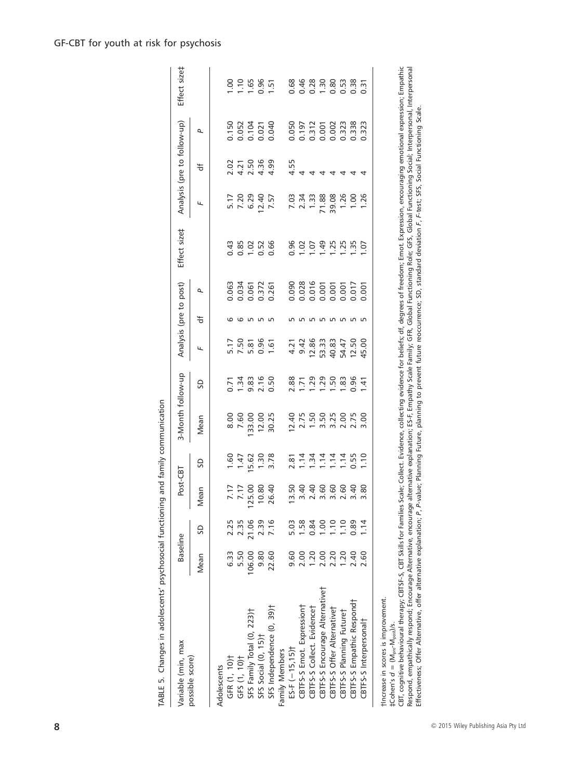| Variable (min, max                                                                                       | <b>Baseline</b> |               | Post-CBT                                 |                                          | 3-Month follow-up                                                                                                                                                                                                                                                                                                   |                       | Analysis (pre to post)                |   |                                                             | Effect size‡                                                                                                                                                                                                                                                                          |                                                                                                                                                                                                                                                                                                               | Analysis (pre to follow-up) |                                                 | Effect size‡ |
|----------------------------------------------------------------------------------------------------------|-----------------|---------------|------------------------------------------|------------------------------------------|---------------------------------------------------------------------------------------------------------------------------------------------------------------------------------------------------------------------------------------------------------------------------------------------------------------------|-----------------------|---------------------------------------|---|-------------------------------------------------------------|---------------------------------------------------------------------------------------------------------------------------------------------------------------------------------------------------------------------------------------------------------------------------------------|---------------------------------------------------------------------------------------------------------------------------------------------------------------------------------------------------------------------------------------------------------------------------------------------------------------|-----------------------------|-------------------------------------------------|--------------|
| possible score)                                                                                          | Mean            | SD            | Mean                                     | SD                                       | Mean                                                                                                                                                                                                                                                                                                                | SD                    | щ                                     | ㅎ | م                                                           |                                                                                                                                                                                                                                                                                       | ц                                                                                                                                                                                                                                                                                                             | ㅎ                           | ٩                                               |              |
| Adolescents                                                                                              |                 |               |                                          |                                          |                                                                                                                                                                                                                                                                                                                     |                       |                                       |   |                                                             |                                                                                                                                                                                                                                                                                       |                                                                                                                                                                                                                                                                                                               |                             |                                                 |              |
| GFR (1, 10) <sup>+</sup>                                                                                 | 6.33            | 2.25          |                                          |                                          |                                                                                                                                                                                                                                                                                                                     |                       |                                       |   |                                                             |                                                                                                                                                                                                                                                                                       |                                                                                                                                                                                                                                                                                                               |                             |                                                 |              |
| GFS (1, 10)†                                                                                             | 5.50            | 2.35          |                                          |                                          |                                                                                                                                                                                                                                                                                                                     |                       |                                       |   |                                                             |                                                                                                                                                                                                                                                                                       |                                                                                                                                                                                                                                                                                                               |                             |                                                 |              |
| SFS Family Total (0, 223) <sup>+</sup>                                                                   | 106.00          | 21.06         |                                          | $-1.00$<br>$-1.00$<br>$-1.78$<br>$-1.78$ |                                                                                                                                                                                                                                                                                                                     |                       | ក្នុង ១៩<br>ក្នុង ១៩<br>ក្នុង ១ ក្នុង |   |                                                             |                                                                                                                                                                                                                                                                                       |                                                                                                                                                                                                                                                                                                               |                             |                                                 |              |
| SFS Social (0, 15)†                                                                                      | 9.80            | 2.39          |                                          |                                          |                                                                                                                                                                                                                                                                                                                     |                       |                                       |   |                                                             |                                                                                                                                                                                                                                                                                       |                                                                                                                                                                                                                                                                                                               |                             |                                                 |              |
| SFS Independence (0, 39)t                                                                                | 22.60           | 7.16          | 7.17<br>7.17<br>25.00<br>26.40           |                                          |                                                                                                                                                                                                                                                                                                                     | $0.73896$<br>0.738250 |                                       |   | 0.063<br>0.034<br>0.061<br>0.372<br>0.261                   | $3.80286$<br>0.0 - 0.0<br>0.0 - 0.0                                                                                                                                                                                                                                                   | 5.17<br>7.20<br>6.21<br>7.57<br>7.57                                                                                                                                                                                                                                                                          |                             | 0.150<br>0.052<br>0.021<br>0.040                |              |
| Family Members                                                                                           |                 |               |                                          |                                          |                                                                                                                                                                                                                                                                                                                     |                       |                                       |   |                                                             |                                                                                                                                                                                                                                                                                       |                                                                                                                                                                                                                                                                                                               |                             |                                                 |              |
| $ES-F$ $(-15, 15)$ †                                                                                     | 9.60            |               |                                          |                                          |                                                                                                                                                                                                                                                                                                                     |                       |                                       |   |                                                             |                                                                                                                                                                                                                                                                                       |                                                                                                                                                                                                                                                                                                               | 4.55                        |                                                 |              |
| CBTFS-S Emot. Expressiont                                                                                | 2.00            | $-58$         |                                          |                                          |                                                                                                                                                                                                                                                                                                                     |                       |                                       |   |                                                             |                                                                                                                                                                                                                                                                                       |                                                                                                                                                                                                                                                                                                               |                             |                                                 |              |
| CBTFS-S Collect. Evidencet                                                                               | 1.20            | 0.84          |                                          |                                          |                                                                                                                                                                                                                                                                                                                     |                       |                                       |   |                                                             |                                                                                                                                                                                                                                                                                       |                                                                                                                                                                                                                                                                                                               |                             |                                                 |              |
| CBTFS-S Encourage Alternativet                                                                           | 2.00            | 8<br>-<br>-   |                                          |                                          |                                                                                                                                                                                                                                                                                                                     |                       |                                       |   |                                                             |                                                                                                                                                                                                                                                                                       |                                                                                                                                                                                                                                                                                                               |                             |                                                 |              |
| CBTFS-S Offer Alternativet                                                                               | 2.20            | $\frac{1}{2}$ |                                          |                                          |                                                                                                                                                                                                                                                                                                                     |                       |                                       |   |                                                             |                                                                                                                                                                                                                                                                                       |                                                                                                                                                                                                                                                                                                               |                             |                                                 |              |
| CBTFS-S Planning Futuret                                                                                 | 1.20            | $\frac{1}{2}$ |                                          |                                          |                                                                                                                                                                                                                                                                                                                     |                       |                                       |   |                                                             |                                                                                                                                                                                                                                                                                       |                                                                                                                                                                                                                                                                                                               |                             |                                                 |              |
| CBTFS-S Empathic Respondt                                                                                | 2.40            | 0.89          | 5 5 9 5 6 6 6 5 8 8<br>5 4 5 6 6 6 6 7 8 | 81<br>818111100<br>818111100             | $\frac{1}{2}$ $\frac{1}{2}$ $\frac{1}{2}$ $\frac{1}{2}$ $\frac{1}{2}$ $\frac{1}{2}$ $\frac{1}{2}$ $\frac{1}{2}$ $\frac{1}{2}$ $\frac{1}{2}$ $\frac{1}{2}$ $\frac{1}{2}$ $\frac{1}{2}$ $\frac{1}{2}$ $\frac{1}{2}$ $\frac{1}{2}$ $\frac{1}{2}$ $\frac{1}{2}$ $\frac{1}{2}$ $\frac{1}{2}$ $\frac{1}{2}$ $\frac{1}{2}$ |                       |                                       |   | 0.090<br>0.028<br>0.000 0.000<br>0.000 0.000<br>0.000 0.000 | $\begin{array}{c} 6000000 \\ 0.000000 \\ 0.00000 \\ 0.00000 \\ 0.00000 \\ 0.00000 \\ 0.00000 \\ 0.00000 \\ 0.00000 \\ 0.00000 \\ 0.00000 \\ 0.00000 \\ 0.00000 \\ 0.00000 \\ 0.00000 \\ 0.00000 \\ 0.00000 \\ 0.00000 \\ 0.00000 \\ 0.00000 \\ 0.00000 \\ 0.00000 \\ 0.00000 \\ 0.00$ | $\begin{array}{c} 0.34 \\ 0.34 \\ 0.44 \\ 0.88 \\ 0.88 \\ 0.89 \\ 0.89 \\ 0.89 \\ 0.89 \\ 0.89 \\ 0.89 \\ 0.89 \\ 0.89 \\ 0.89 \\ 0.89 \\ 0.89 \\ 0.89 \\ 0.89 \\ 0.89 \\ 0.89 \\ 0.89 \\ 0.89 \\ 0.89 \\ 0.89 \\ 0.89 \\ 0.89 \\ 0.89 \\ 0.89 \\ 0.89 \\ 0.89 \\ 0.89 \\ 0.89 \\ 0.89 \\ 0.89 \\ 0.89 \\ 0.$ |                             | 0.050<br>0.197<br>0.312<br>0.0023338<br>0.32338 |              |
| CBTFS-S Interpersonal <sup>+</sup>                                                                       | 0.60            | $\frac{4}{1}$ |                                          |                                          |                                                                                                                                                                                                                                                                                                                     |                       |                                       |   |                                                             |                                                                                                                                                                                                                                                                                       |                                                                                                                                                                                                                                                                                                               |                             |                                                 |              |
| tincrease in scores is improvement.<br>$\frac{1}{2}$<br>$\text{\tt tCohen's d} = (\text{Mpre-Mpost)/s}.$ |                 |               |                                          |                                          |                                                                                                                                                                                                                                                                                                                     |                       | -<br>-<br>-<br>-<br>-                 |   |                                                             |                                                                                                                                                                                                                                                                                       |                                                                                                                                                                                                                                                                                                               |                             |                                                 |              |

TABLE 5. Changes in adolescents' psychosocial functioning and family communication TABLE 5. Changes in adolescents' psychosocial functioning and family communication

CBT, cognitive behavioural therapy; CBTSF-S, CBT Skills for Families Scale; Collect. Evidence, collecting evidence for beliefs; df, degrees of freedom; Emot. Expression, encouraging emotional expression; Empathic<br>Respond, CBT, cognitive behavioural therapy; CBTSF-S, CBT Skills for Families Scale; Collect. Evidence, collecting evidence for beliefs; df, degrees of freedom; Emot. Expression, encouraging emotional expression; Empathic Respond, empathically respond; Encourage Alternative, encourage alternative explanation; ES-F, Empathy Scale Family; GFR, Global Functioning Role; GFS, Global Functioning Social; Interpersonal, Interpersonal Effectiveness; Offer Alternative, offer alternative explanation; P, P-value; Planning Future, planning to prevent future reoccurrence; SD, standard deviation F, F-test; SFS, Social Functioning Scale.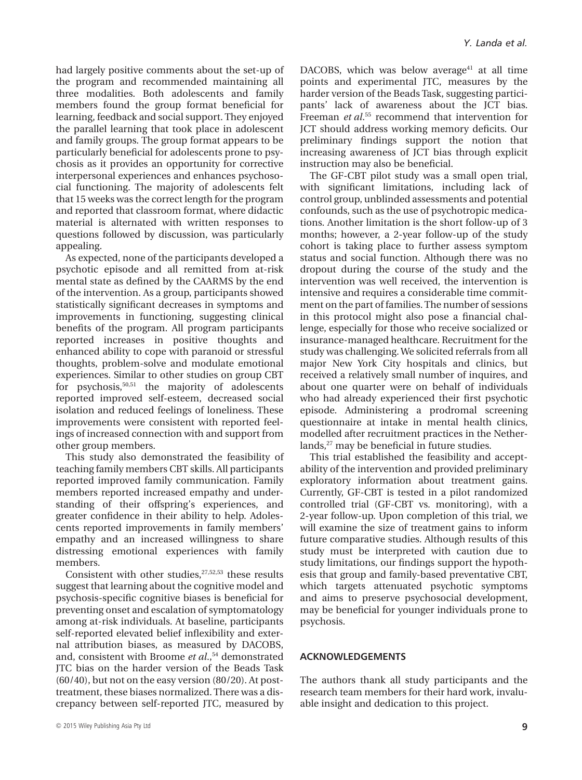had largely positive comments about the set-up of the program and recommended maintaining all three modalities. Both adolescents and family members found the group format beneficial for learning, feedback and social support. They enjoyed the parallel learning that took place in adolescent and family groups. The group format appears to be particularly beneficial for adolescents prone to psychosis as it provides an opportunity for corrective interpersonal experiences and enhances psychosocial functioning. The majority of adolescents felt that 15 weeks was the correct length for the program and reported that classroom format, where didactic material is alternated with written responses to questions followed by discussion, was particularly appealing.

As expected, none of the participants developed a psychotic episode and all remitted from at-risk mental state as defined by the CAARMS by the end of the intervention. As a group, participants showed statistically significant decreases in symptoms and improvements in functioning, suggesting clinical benefits of the program. All program participants reported increases in positive thoughts and enhanced ability to cope with paranoid or stressful thoughts, problem-solve and modulate emotional experiences. Similar to other studies on group CBT for psychosis, $50,51$  the majority of adolescents reported improved self-esteem, decreased social isolation and reduced feelings of loneliness. These improvements were consistent with reported feelings of increased connection with and support from other group members.

This study also demonstrated the feasibility of teaching family members CBT skills. All participants reported improved family communication. Family members reported increased empathy and understanding of their offspring's experiences, and greater confidence in their ability to help. Adolescents reported improvements in family members' empathy and an increased willingness to share distressing emotional experiences with family members.

Consistent with other studies, $27,52,53$  these results suggest that learning about the cognitive model and psychosis-specific cognitive biases is beneficial for preventing onset and escalation of symptomatology among at-risk individuals. At baseline, participants self-reported elevated belief inflexibility and external attribution biases, as measured by DACOBS, and, consistent with Broome et al.,<sup>54</sup> demonstrated JTC bias on the harder version of the Beads Task (60/40), but not on the easy version (80/20). At posttreatment, these biases normalized. There was a discrepancy between self-reported JTC, measured by DACOBS, which was below average $41$  at all time points and experimental JTC, measures by the harder version of the Beads Task, suggesting participants' lack of awareness about the JCT bias. Freeman *et al*. <sup>55</sup> recommend that intervention for JCT should address working memory deficits. Our preliminary findings support the notion that increasing awareness of JCT bias through explicit instruction may also be beneficial.

The GF-CBT pilot study was a small open trial, with significant limitations, including lack of control group, unblinded assessments and potential confounds, such as the use of psychotropic medications. Another limitation is the short follow-up of 3 months; however, a 2-year follow-up of the study cohort is taking place to further assess symptom status and social function. Although there was no dropout during the course of the study and the intervention was well received, the intervention is intensive and requires a considerable time commitment on the part of families. The number of sessions in this protocol might also pose a financial challenge, especially for those who receive socialized or insurance-managed healthcare. Recruitment for the study was challenging. We solicited referrals from all major New York City hospitals and clinics, but received a relatively small number of inquires, and about one quarter were on behalf of individuals who had already experienced their first psychotic episode. Administering a prodromal screening questionnaire at intake in mental health clinics, modelled after recruitment practices in the Netherlands,<sup>27</sup> may be beneficial in future studies.

This trial established the feasibility and acceptability of the intervention and provided preliminary exploratory information about treatment gains. Currently, GF-CBT is tested in a pilot randomized controlled trial (GF-CBT vs. monitoring), with a 2-year follow-up. Upon completion of this trial, we will examine the size of treatment gains to inform future comparative studies. Although results of this study must be interpreted with caution due to study limitations, our findings support the hypothesis that group and family-based preventative CBT, which targets attenuated psychotic symptoms and aims to preserve psychosocial development, may be beneficial for younger individuals prone to psychosis.

## **ACKNOWLEDGEMENTS**

The authors thank all study participants and the research team members for their hard work, invaluable insight and dedication to this project.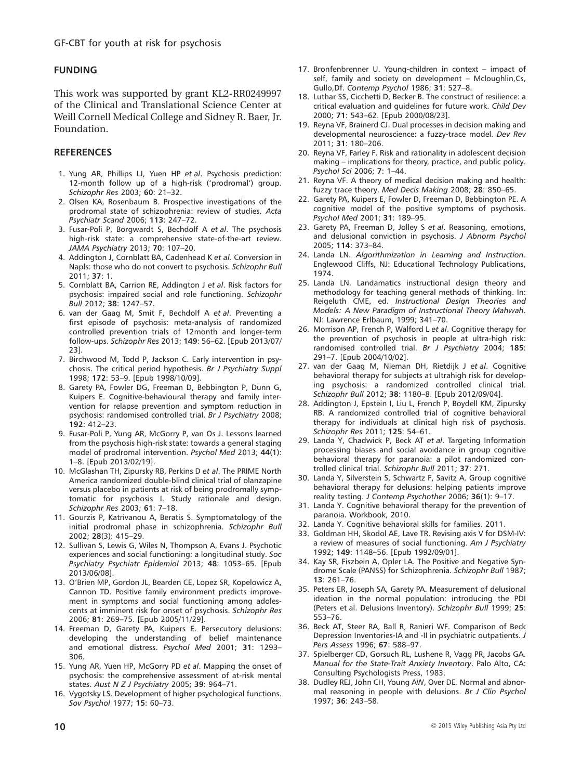## **FUNDING**

This work was supported by grant KL2-RR0249997 of the Clinical and Translational Science Center at Weill Cornell Medical College and Sidney R. Baer, Jr. Foundation.

### **REFERENCES**

- 1. Yung AR, Phillips LJ, Yuen HP *et al*. Psychosis prediction: 12-month follow up of a high-risk ('prodromal') group. *Schizophr Res* 2003; **60**: 21–32.
- 2. Olsen KA, Rosenbaum B. Prospective investigations of the prodromal state of schizophrenia: review of studies. *Acta Psychiatr Scand* 2006; **113**: 247–72.
- 3. Fusar-Poli P, Borgwardt S, Bechdolf A *et al*. The psychosis high-risk state: a comprehensive state-of-the-art review. *JAMA Psychiatry* 2013; **70**: 107–20.
- 4. Addington J, Cornblatt BA, Cadenhead K *et al*. Conversion in Napls: those who do not convert to psychosis. *Schizophr Bull* 2011; **37**: 1.
- 5. Cornblatt BA, Carrion RE, Addington J *et al*. Risk factors for psychosis: impaired social and role functioning. *Schizophr Bull* 2012; **38**: 1247–57.
- 6. van der Gaag M, Smit F, Bechdolf A *et al*. Preventing a first episode of psychosis: meta-analysis of randomized controlled prevention trials of 12month and longer-term follow-ups. *Schizophr Res* 2013; **149**: 56–62. [Epub 2013/07/ 23].
- 7. Birchwood M, Todd P, Jackson C. Early intervention in psychosis. The critical period hypothesis. *Br J Psychiatry Suppl* 1998; **172**: 53–9. [Epub 1998/10/09].
- 8. Garety PA, Fowler DG, Freeman D, Bebbington P, Dunn G, Kuipers E. Cognitive-behavioural therapy and family intervention for relapse prevention and symptom reduction in psychosis: randomised controlled trial. *Br J Psychiatry* 2008; **192**: 412–23.
- 9. Fusar-Poli P, Yung AR, McGorry P, van Os J. Lessons learned from the psychosis high-risk state: towards a general staging model of prodromal intervention. *Psychol Med* 2013; **44**(1): 1–8. [Epub 2013/02/19].
- 10. McGlashan TH, Zipursky RB, Perkins D *et al*. The PRIME North America randomized double-blind clinical trial of olanzapine versus placebo in patients at risk of being prodromally symptomatic for psychosis I. Study rationale and design. *Schizophr Res* 2003; **61**: 7–18.
- 11. Gourzis P, Katrivanou A, Beratis S. Symptomatology of the initial prodromal phase in schizophrenia. *Schizophr Bull* 2002; **28**(3): 415–29.
- 12. Sullivan S, Lewis G, Wiles N, Thompson A, Evans J. Psychotic experiences and social functioning: a longitudinal study. *Soc Psychiatry Psychiatr Epidemiol* 2013; **48**: 1053–65. [Epub 2013/06/08].
- 13. O'Brien MP, Gordon JL, Bearden CE, Lopez SR, Kopelowicz A, Cannon TD. Positive family environment predicts improvement in symptoms and social functioning among adolescents at imminent risk for onset of psychosis. *Schizophr Res* 2006; **81**: 269–75. [Epub 2005/11/29].
- 14. Freeman D, Garety PA, Kuipers E. Persecutory delusions: developing the understanding of belief maintenance and emotional distress. *Psychol Med* 2001; **31**: 1293– 306.
- 15. Yung AR, Yuen HP, McGorry PD *et al*. Mapping the onset of psychosis: the comprehensive assessment of at-risk mental states. *Aust N Z J Psychiatry* 2005; **39**: 964–71.
- 16. Vygotsky LS. Development of higher psychological functions. *Sov Psychol* 1977; **15**: 60–73.
- 17. Bronfenbrenner U. Young-children in context impact of self, family and society on development – Mcloughlin,Cs, Gullo,Df. *Contemp Psychol* 1986; **31**: 527–8.
- 18. Luthar SS, Cicchetti D, Becker B. The construct of resilience: a critical evaluation and guidelines for future work. *Child Dev* 2000; **71**: 543–62. [Epub 2000/08/23].
- 19. Reyna VF, Brainerd CJ. Dual processes in decision making and developmental neuroscience: a fuzzy-trace model. *Dev Rev* 2011; **31**: 180–206.
- 20. Reyna VF, Farley F. Risk and rationality in adolescent decision making – implications for theory, practice, and public policy. *Psychol Sci* 2006; **7**: 1–44.
- 21. Reyna VF. A theory of medical decision making and health: fuzzy trace theory. *Med Decis Making* 2008; **28**: 850–65.
- 22. Garety PA, Kuipers E, Fowler D, Freeman D, Bebbington PE. A cognitive model of the positive symptoms of psychosis. *Psychol Med* 2001; **31**: 189–95.
- 23. Garety PA, Freeman D, Jolley S *et al*. Reasoning, emotions, and delusional conviction in psychosis. *J Abnorm Psychol* 2005; **114**: 373–84.
- 24. Landa LN. *Algorithmization in Learning and Instruction*. Englewood Cliffs, NJ: Educational Technology Publications, 1974.
- 25. Landa LN. Landamatics instructional design theory and methodology for teaching general methods of thinking. In: Reigeluth CME, ed. *Instructional Design Theories and Models: A New Paradigm of Instructional Theory Mahwah*. NJ: Lawrence Erlbaum, 1999; 341–70.
- 26. Morrison AP, French P, Walford L *et al*. Cognitive therapy for the prevention of psychosis in people at ultra-high risk: randomised controlled trial. *Br J Psychiatry* 2004; **185**: 291–7. [Epub 2004/10/02].
- 27. van der Gaag M, Nieman DH, Rietdijk J *et al*. Cognitive behavioral therapy for subjects at ultrahigh risk for developing psychosis: a randomized controlled clinical trial. *Schizophr Bull* 2012; **38**: 1180–8. [Epub 2012/09/04].
- 28. Addington J, Epstein I, Liu L, French P, Boydell KM, Zipursky RB. A randomized controlled trial of cognitive behavioral therapy for individuals at clinical high risk of psychosis. *Schizophr Res* 2011; **125**: 54–61.
- 29. Landa Y, Chadwick P, Beck AT *et al*. Targeting Information processing biases and social avoidance in group cognitive behavioral therapy for paranoia: a pilot randomized controlled clinical trial. *Schizophr Bull* 2011; **37**: 271.
- 30. Landa Y, Silverstein S, Schwartz F, Savitz A. Group cognitive behavioral therapy for delusions: helping patients improve reality testing. *J Contemp Psychother* 2006; **36**(1): 9–17.
- 31. Landa Y. Cognitive behavioral therapy for the prevention of paranoia. Workbook, 2010.
- 32. Landa Y. Cognitive behavioral skills for families. 2011.
- 33. Goldman HH, Skodol AE, Lave TR. Revising axis V for DSM-IV: a review of measures of social functioning. *Am J Psychiatry* 1992; **149**: 1148–56. [Epub 1992/09/01].
- 34. Kay SR, Fiszbein A, Opler LA. The Positive and Negative Syndrome Scale (PANSS) for Schizophrenia. *Schizophr Bull* 1987; **13**: 261–76.
- 35. Peters ER, Joseph SA, Garety PA. Measurement of delusional ideation in the normal population: introducing the PDI (Peters et al. Delusions Inventory). *Schizophr Bull* 1999; **25**: 553–76.
- 36. Beck AT, Steer RA, Ball R, Ranieri WF. Comparison of Beck Depression Inventories-IA and -II in psychiatric outpatients. *J Pers Assess* 1996; **67**: 588–97.
- 37. Spielberger CD, Gorsuch RL, Lushene R, Vagg PR, Jacobs GA. *Manual for the State-Trait Anxiety Inventory*. Palo Alto, CA: Consulting Psychologists Press, 1983.
- 38. Dudley REJ, John CH, Young AW, Over DE. Normal and abnormal reasoning in people with delusions. *Br J Clin Psychol* 1997; **36**: 243–58.